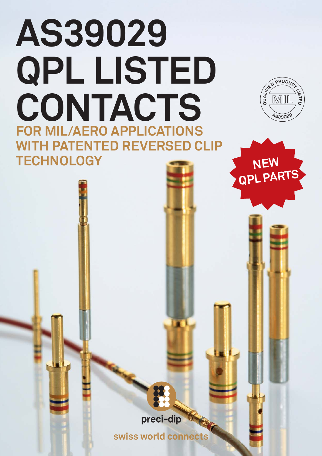# **AS39029 QPL LISTED CONTACTS FOR MIL/AERO APPLICATIONS WITH PATENTED REVERSED CLIP TECHNOLOGY**



**NEW**

 **QPL PARTS**



**swiss world connects**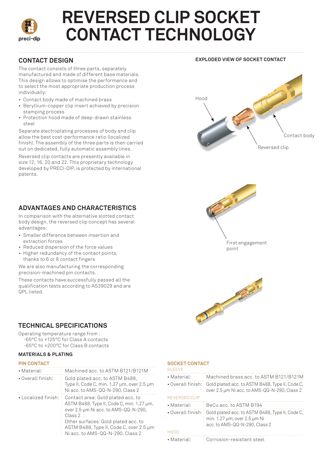

## **REVERSED CLIP SOCKET CONTACT TECHNOLOGY**

#### **CONTACT DESIGN**

The contact consists of three parts, separately manufactured and made of different base materials. This design allows to optimise the performance and to select the most appropriate production process individually:

- Contact body made of machined brass
- Beryllium-copper clip insert achieved by precision stamping process
- Protection hood made of deep-drawn stainless steel

Separate electroplating processes of body and clip allow the best cost-performance ratio (localized finish). The assembly of the three parts is then carried out on dedicated, fully automatic assembly lines.

Reversed clip contacts are presently available in size 12, 16, 20 and 22. This proprietary technology developed by PRECI-DIP, is protected by international patents.

#### **ADVANTAGES AND CHARACTERISTICS**

In comparison with the alternative slotted contact body design, the reversed clip concept has several advantages:

- Smaller difference between insertion and extraction forces
- Reduced dispersion of the force values
- Higher redundancy of the contact points, thanks to 6 or 8 contact fingers

We are also manufacturing the corresponding precision-machined pin contacts.

These contacts have successfully passed all the qualification tests according to AS39029 and are QPL listed.









#### **TECHNICAL SPECIFICATIONS**

Operating temperature range from :

-65°C to +125°C for Class A contacts -65°C to +200°C for Class B contacts

#### **MATERIALS & PLATING**

#### **PIN CONTACT**

| • Material:               | Machined acc. to ASTM B121/B121M                                                                                                                                                                                                                        |
|---------------------------|---------------------------------------------------------------------------------------------------------------------------------------------------------------------------------------------------------------------------------------------------------|
| $\cdot$ Overall finish:   | Gold plated acc. to ASTM B488,<br>Type II, Code C, min. $1.27 \mu m$ , over $2.5 \mu m$<br>Ni acc. to AMS-QQ-N-290, Class 2                                                                                                                             |
| $\cdot$ Localized finish: | Contact area: Gold plated acc. to<br>ASTM B488, Type II, Code C, min. 1.27 µm,<br>over 2.5 µm Ni acc. to AMS-QQ-N-290,<br>Class 2<br>Other surfaces: Gold plated acc. to<br>ASTM B488, Type II, Code C, over 2.5 µm<br>Ni acc. to AMS-QQ-N-290, Class 2 |

#### **SOCKET CONTACT**

| <b>SI FFVF</b>          |                                                                                                                             |  |  |
|-------------------------|-----------------------------------------------------------------------------------------------------------------------------|--|--|
| • Material:             | Machined brass acc. to ASTM B121/B121M                                                                                      |  |  |
|                         | • Overall finish:   Gold plated acc. to ASTM B488, Type II, Code C,<br>over 2.5 µm Ni acc. to AMS-QQ-N-290, Class 2         |  |  |
| REVERSED CLIP           |                                                                                                                             |  |  |
| • Material:             | BeCu acc. to ASTM B194                                                                                                      |  |  |
| $\cdot$ Overall finish: | Gold plated acc. to ASTM B488, Type II, Code C,<br>min. $1.27 \mu m$ , over $2.5 \mu m$ Ni<br>acc. to AMS-QQ-N-290. Class 2 |  |  |
| HOOD                    |                                                                                                                             |  |  |
| • Material:             | Corrosion-resistant steel                                                                                                   |  |  |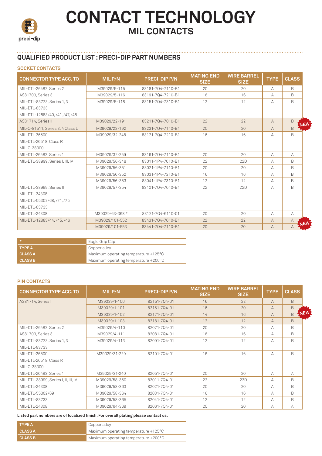

## **CONTACT TECHNOLOGY MIL CONTACTS**

#### **QUALIFIED PRODUCT LIST : PRECI-DIP PART NUMBERS**

#### **SOCKET CONTACTS**

| <b>CONNECTOR TYPE ACC. TO</b>    | MIL P/N         | <b>PRECI-DIP P/N</b> | <b>MATING END</b><br><b>SIZE</b> | <b>WIRE BARREL</b><br><b>SIZE</b> | <b>TYPE</b>    | <b>CLASS</b>   |            |
|----------------------------------|-----------------|----------------------|----------------------------------|-----------------------------------|----------------|----------------|------------|
| MIL-DTL-26482, Series 2          | M39029/5-115    | 83181-704-7110-B1    | 20                               | 20                                | А              | <sub>B</sub>   |            |
| AS81703, Series 3                | M39029/5-116    | 83191-704-7210-B1    | 16                               | 16                                | $\forall$      | R.             |            |
| MIL-DTL-83723, Series 1, 3       | M39029/5-118    | 83151-704-7310-B1    | 12                               | 12                                | А              | <sub>B</sub>   |            |
| MII-DTI-83733                    |                 |                      |                                  |                                   |                |                |            |
| MIL-DTL-12883/40./41./47./48     |                 |                      |                                  |                                   |                |                |            |
| AS81714, Series II               | M39029/22-191   | 83211-704-7010-B1    | 22                               | 22                                | $\mathsf{A}$   | <sub>B</sub>   | NEW        |
| MIL-C-81511, Series 3, 4 Class L | M39029/22-192   | 83231-704-7110-B1    | 20                               | 20                                | $\overline{A}$ | <sub>R</sub>   |            |
| MII-DTI-26500                    | M39029/32-248   | 83171-704-7210-B1    | 16                               | 16                                | А              | B.             |            |
| MIL-DTL-26518, Class R           |                 |                      |                                  |                                   |                |                |            |
| MII-C-38300                      |                 |                      |                                  |                                   |                |                |            |
| MIL-DTL-26482, Series 1          | M39029/32-259   | 83161-704-7110-B1    | 20                               | 20                                | A              | A              |            |
| MIL-DTL-38999, Series I, III, IV | M39029/56-348   | 83011-1P4-7010-B1    | 22                               | 22D                               | $\forall$      | B              |            |
|                                  | M39029/56-351   | 83021-1P4-7110-B1    | 20                               | 20                                | А              | B              |            |
|                                  | M39029/56-352   | 83031-1P4-7210-B1    | 16                               | 16                                | А              | B.             |            |
|                                  | M39029/56-353   | 83041-1P4-7310-B1    | 12                               | 12                                | $\forall$      | R.             |            |
| MIL-DTL-38999, Series II         | M39029/57-354   | 83101-704-7010-B1    | 22                               | 22D                               | А              | R.             |            |
| MIL-DTL-24308                    |                 |                      |                                  |                                   |                |                |            |
| MIL-DTL-55302/68, /71, /75       |                 |                      |                                  |                                   |                |                |            |
| MIL-DTL-83733                    |                 |                      |                                  |                                   |                |                |            |
| MIL-DTL-24308                    | M39029/63-368 * | 83121-704-6110-01    | 20                               | 20                                | A              | A              |            |
| MIL-DTL-12883/44, /45, /46       | M39029/101-552  | 83431-704-7010-B1    | 22                               | 22                                | $\mathsf{A}$   | $\overline{A}$ | <b>NEW</b> |
|                                  | M39029/101-553  | 83441-704-7110-B1    | 20                               | 20                                | $\mathsf{A}$   | A              |            |

| / ÷ a          | Eagle Grip Clip                      |
|----------------|--------------------------------------|
| <b>TYPE A</b>  | Copper alloy                         |
| <b>CLASS A</b> | Maximum operating temperature +125°C |
| <b>CLASS B</b> | Maximum operating temperature +200°C |

#### **PIN CONTACTS**

| <b>CONNECTOR TYPE ACC. TO</b>        | MIL P/N       | <b>PRECI-DIP P/N</b> | <b>MATING END</b><br><b>SIZE</b> | <b>WIRE BARREL</b><br><b>SIZE</b> | <b>TYPE</b>    | <b>CLASS</b> |            |
|--------------------------------------|---------------|----------------------|----------------------------------|-----------------------------------|----------------|--------------|------------|
| AS81714, Series I                    | M39029/1-100  | 82151-704-01         | 16                               | 22                                | $\mathsf{A}$   | <sub>B</sub> |            |
|                                      | M39029/1-101  | 82161-704-01         | 16                               | 20                                | $\overline{A}$ | <sub>B</sub> |            |
|                                      | M39029/1-102  | 82171-704-01         | 14                               | 16                                | $\mathsf{A}$   | B            | <b>NEW</b> |
|                                      | M39029/1-103  | 82181-704-01         | 12                               | 12                                | $\mathsf{A}$   | <sub>B</sub> |            |
| MIL-DTL-26482, Series 2              | M39029/4-110  | 82071-7Q4-01         | 20                               | 20                                | А              | <sub>B</sub> |            |
| AS81703, Series 3                    | M39029/4-111  | 82081-704-01         | 16                               | 16                                | А              | B            |            |
| MIL-DTL-83723, Series 1, 3           | M39029/4-113  | 82091-704-01         | 12                               | 12                                | А              | R.           |            |
| MIL-DTL-83733                        |               |                      |                                  |                                   |                |              |            |
| MIL-DTL-26500                        | M39029/31-229 | 82101-704-01         | 16                               | 16                                | А              | R.           |            |
| MIL-DTL-26518, Class R               |               |                      |                                  |                                   |                |              |            |
| MIL-C-38300                          |               |                      |                                  |                                   |                |              |            |
| MIL-DTL-26482, Series 1              | M39029/31-240 | 82051-704-01         | 20                               | 20                                | А              | А            |            |
| MIL-DTL-38999, Series I, II, III, IV | M39029/58-360 | 82011-7Q4-01         | 22                               | 22D                               | А              | <sub>B</sub> |            |
| MIL-DTL-24308                        | M39029/58-363 | 82021-704-01         | 20                               | 20                                | А              | <sub>B</sub> |            |
| MIL-DTL-55302/69                     | M39029/58-364 | 82031-704-01         | 16                               | 16                                | А              | R.           |            |
| MIL-DTL-83733                        | M39029/58-365 | 82041-704-01         | 12                               | 12                                | А              | B.           |            |
| MIL-DTL-24308                        | M39029/64-369 | 82061-704-01         | 20                               | 20                                | А              | $\forall$    |            |

#### **Listed part numbers are of localized finish. For overall plating please contact us.**

| I TYPE A       | Copper alloy                         |
|----------------|--------------------------------------|
| <b>CLASS A</b> | Maximum operating temperature +125°C |
| <b>CLASS B</b> | Maximum operating temperature +200°C |